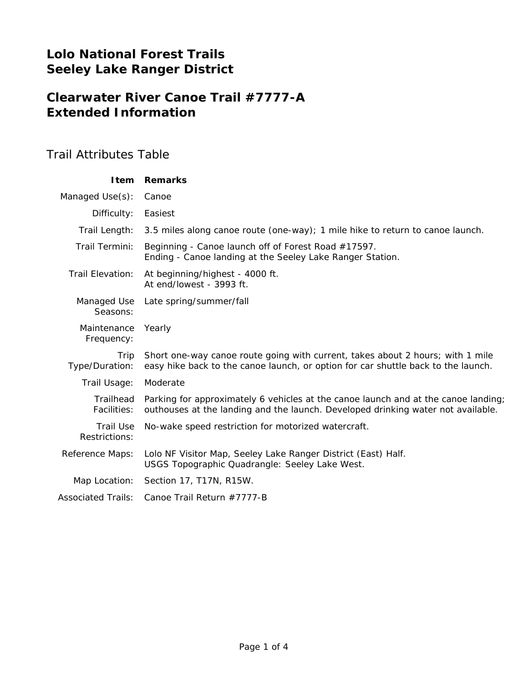# **Lolo National Forest Trails Seeley Lake Ranger District**

# **Clearwater River Canoe Trail #7777-A Extended Information**

## Trail Attributes Table

| <b>I</b> tem                      | <b>Remarks</b>                                                                                                                                                         |
|-----------------------------------|------------------------------------------------------------------------------------------------------------------------------------------------------------------------|
| Managed Use(s):                   | Canoe                                                                                                                                                                  |
| Difficulty:                       | Easiest                                                                                                                                                                |
| Trail Length:                     | 3.5 miles along canoe route (one-way); 1 mile hike to return to canoe launch.                                                                                          |
| Trail Termini:                    | Beginning - Canoe launch off of Forest Road #17597.<br>Ending - Canoe landing at the Seeley Lake Ranger Station.                                                       |
| Trail Elevation:                  | At beginning/highest - 4000 ft.<br>At end/lowest - 3993 ft.                                                                                                            |
| Managed Use<br>Seasons:           | Late spring/summer/fall                                                                                                                                                |
| Maintenance<br>Frequency:         | Yearly                                                                                                                                                                 |
| Trip<br>Type/Duration:            | Short one-way canoe route going with current, takes about 2 hours; with 1 mile<br>easy hike back to the canoe launch, or option for car shuttle back to the launch.    |
| Trail Usage:                      | Moderate                                                                                                                                                               |
| Trailhead<br>Facilities:          | Parking for approximately 6 vehicles at the canoe launch and at the canoe landing;<br>outhouses at the landing and the launch. Developed drinking water not available. |
| <b>Trail Use</b><br>Restrictions: | No-wake speed restriction for motorized watercraft.                                                                                                                    |
| Reference Maps:                   | Lolo NF Visitor Map, Seeley Lake Ranger District (East) Half.<br>USGS Topographic Quadrangle: Seeley Lake West.                                                        |
| Map Location:                     | Section 17, T17N, R15W.                                                                                                                                                |
| <b>Associated Trails:</b>         | Canoe Trail Return #7777-B                                                                                                                                             |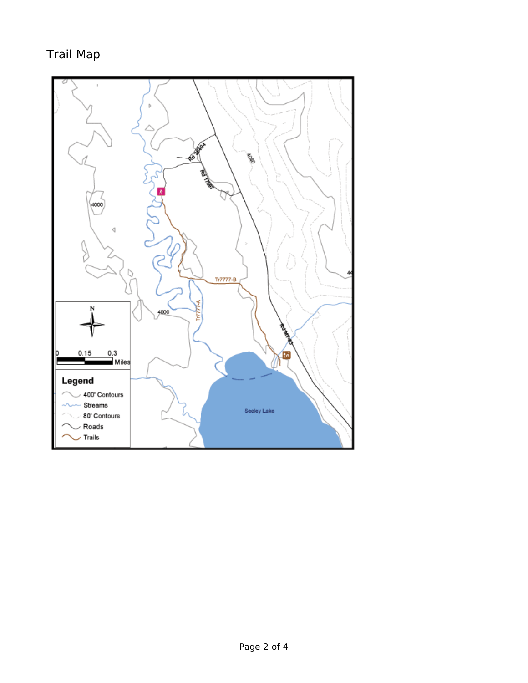# Trail Map

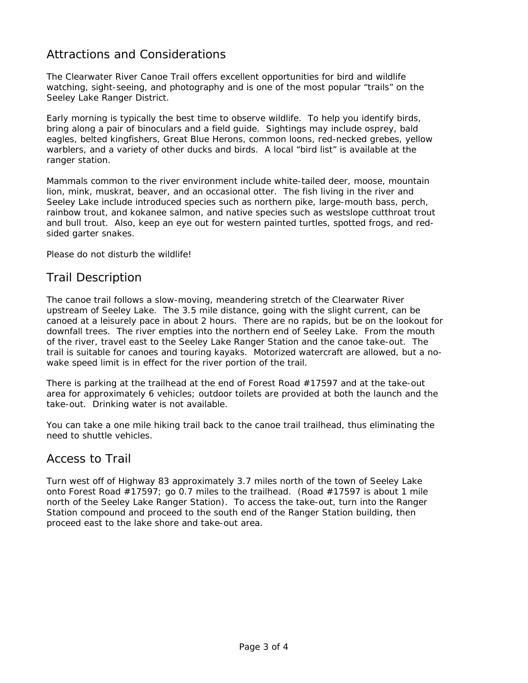## Attractions and Considerations

The Clearwater River Canoe Trail offers excellent opportunities for bird and wildlife watching, sight-seeing, and photography and is one of the most popular "trails" on the Seeley Lake Ranger District.

Early morning is typically the best time to observe wildlife. To help you identify birds, bring along a pair of binoculars and a field guide. Sightings may include osprey, bald eagles, belted kingfishers, Great Blue Herons, common loons, red-necked grebes, yellow warblers, and a variety of other ducks and birds. A local "bird list" is available at the ranger station.

Mammals common to the river environment include white-tailed deer, moose, mountain lion, mink, muskrat, beaver, and an occasional otter. The fish living in the river and Seeley Lake include introduced species such as northern pike, large-mouth bass, perch, rainbow trout, and kokanee salmon, and native species such as westslope cutthroat trout and bull trout. Also, keep an eye out for western painted turtles, spotted frogs, and redsided garter snakes.

Please do not disturb the wildlife!

#### Trail Description

The canoe trail follows a slow-moving, meandering stretch of the Clearwater River upstream of Seeley Lake. The 3.5 mile distance, going with the slight current, can be canoed at a leisurely pace in about 2 hours. There are no rapids, but be on the lookout for downfall trees. The river empties into the northern end of Seeley Lake. From the mouth of the river, travel east to the Seeley Lake Ranger Station and the canoe take-out. The trail is suitable for canoes and touring kayaks. Motorized watercraft are allowed, but a nowake speed limit is in effect for the river portion of the trail.

There is parking at the trailhead at the end of Forest Road #17597 and at the take-out area for approximately 6 vehicles; outdoor toilets are provided at both the launch and the take-out. Drinking water is not available.

You can take a one mile hiking trail back to the canoe trail trailhead, thus eliminating the need to shuttle vehicles.

#### Access to Trail

Turn west off of Highway 83 approximately 3.7 miles north of the town of Seeley Lake onto Forest Road #17597; go 0.7 miles to the trailhead. (Road #17597 is about 1 mile north of the Seeley Lake Ranger Station). To access the take-out, turn into the Ranger Station compound and proceed to the south end of the Ranger Station building, then proceed east to the lake shore and take-out area.